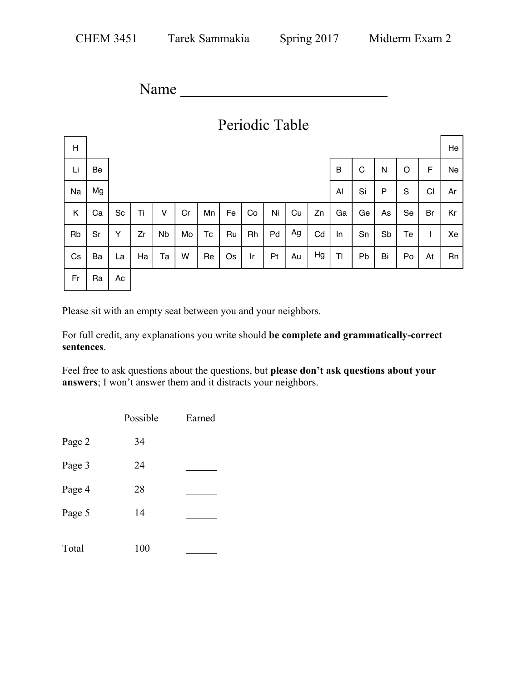Name

| Periodic Table |    |                  |    |           |    |    |    |    |    |    |    |    |    |    |    |    |    |
|----------------|----|------------------|----|-----------|----|----|----|----|----|----|----|----|----|----|----|----|----|
| Н              |    |                  |    |           |    |    |    |    |    |    |    |    |    |    |    |    | He |
| Li             | Be | C<br>B<br>N<br>O |    |           |    |    |    |    |    | F  | Ne |    |    |    |    |    |    |
| Na             | Mg |                  |    |           |    |    |    |    |    |    |    | AI | Si | P  | S  | C1 | Ar |
| K              | Ca | Sc               | Ti | ٧         | Cr | Mn | Fe | Co | Ni | Cu | Zn | Ga | Ge | As | Se | Br | Kr |
| Rb             | Sr | Υ                | Zr | <b>Nb</b> | Mo | Tc | Ru | Rh | Pd | Ag | Cd | In | Sn | Sb | Te | I  | Xe |
| Cs             | Ba | La               | Ha | Та        | W  | Re | Os | Ir | Pt | Au | Hg | TI | Pb | Bi | Po | At | Rn |
| Fr             | Ra | Ac               |    |           |    |    |    |    |    |    |    |    |    |    |    |    |    |

Please sit with an empty seat between you and your neighbors.

For full credit, any explanations you write should **be complete and grammatically-correct sentences**.

Feel free to ask questions about the questions, but **please don't ask questions about your answers**; I won't answer them and it distracts your neighbors.

|        | Possible | Earned |
|--------|----------|--------|
| Page 2 | 34       |        |
| Page 3 | 24       |        |
| Page 4 | 28       |        |
| Page 5 | 14       |        |
| Total  | 100      |        |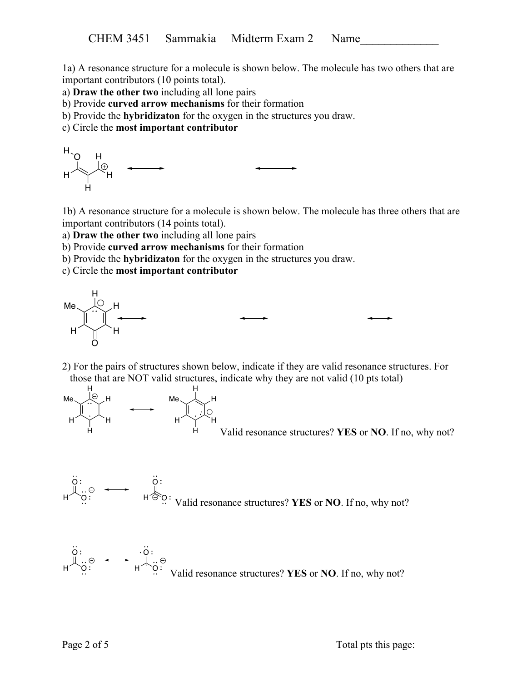1a) A resonance structure for a molecule is shown below. The molecule has two others that are important contributors (10 points total).

a) **Draw the other two** including all lone pairs

- b) Provide **curved arrow mechanisms** for their formation
- b) Provide the **hybridizaton** for the oxygen in the structures you draw.

c) Circle the **most important contributor**

$$
H \downarrow H \downarrow H
$$

1b) A resonance structure for a molecule is shown below. The molecule has three others that are important contributors (14 points total).

a) **Draw the other two** including all lone pairs

b) Provide **curved arrow mechanisms** for their formation

b) Provide the **hybridizaton** for the oxygen in the structures you draw.

c) Circle the **most important contributor**



2) For the pairs of structures shown below, indicate if they are valid resonance structures. For those that are NOT valid structures, indicate why they are not valid (10 pts total)



 $\ddot{\phantom{a}}$ 

Valid resonance structures? **YES** or **NO**. If no, why not?



$$
\begin{array}{ccc}\nO: & \longrightarrow & O: \\
\downarrow & \odot & \longmapsto & \downarrow \dots \odot \\
\text{A} & O: & \text{Valid resonance structures?} \text{YES or NO. If no, why not?}\n\end{array}
$$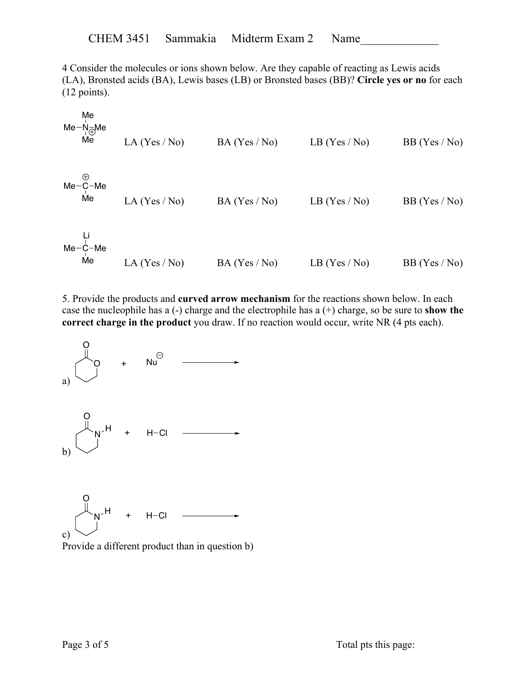4 Consider the molecules or ions shown below. Are they capable of reacting as Lewis acids (LA), Bronsted acids (BA), Lewis bases (LB) or Bronsted bases (BB)? **Circle yes or no** for each (12 points).

| Me                  | Ne                    |                       |                       |                       |                       |
|---------------------|-----------------------|-----------------------|-----------------------|-----------------------|-----------------------|
| \n $N_e$ \n         | \n $N_e$ \n           | \n $LA (Yes / No)$ \n | \n $BA (Yes / No)$ \n | \n $LB (Yes / No)$ \n | \n $BB (Yes / No)$ \n |
| \n $Me - C - Me$ \n | \n $La (Yes / No)$ \n | \n $BA (Yes / No)$ \n | \n $LB (Yes / No)$ \n | \n $BB (Yes / No)$ \n |                       |
| \n $Li$ \n          | \n $Me - C - Me$ \n   |                       |                       |                       |                       |
| \n $Me - C - Me$ \n | \n $LA (Yes / No)$ \n | \n $BA (Yes / No)$ \n | \n $LB (Yes / No)$ \n | \n $BB (Yes / No)$ \n |                       |

5. Provide the products and **curved arrow mechanism** for the reactions shown below. In each case the nucleophile has a (-) charge and the electrophile has a (+) charge, so be sure to **show the correct charge in the product** you draw. If no reaction would occur, write NR (4 pts each).



Provide a different product than in question b)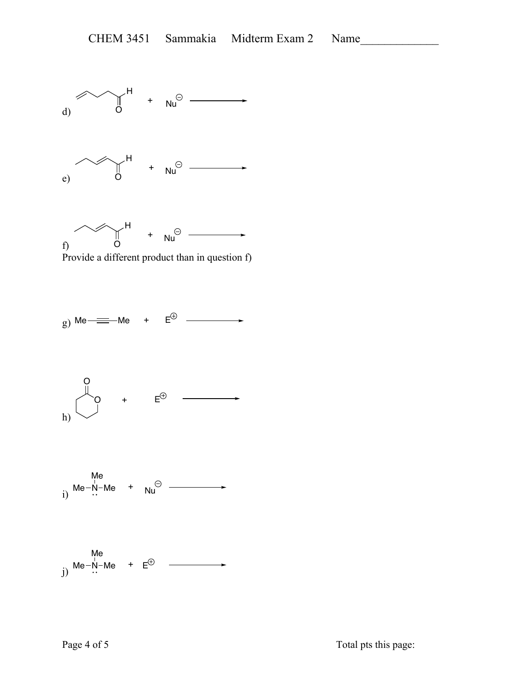